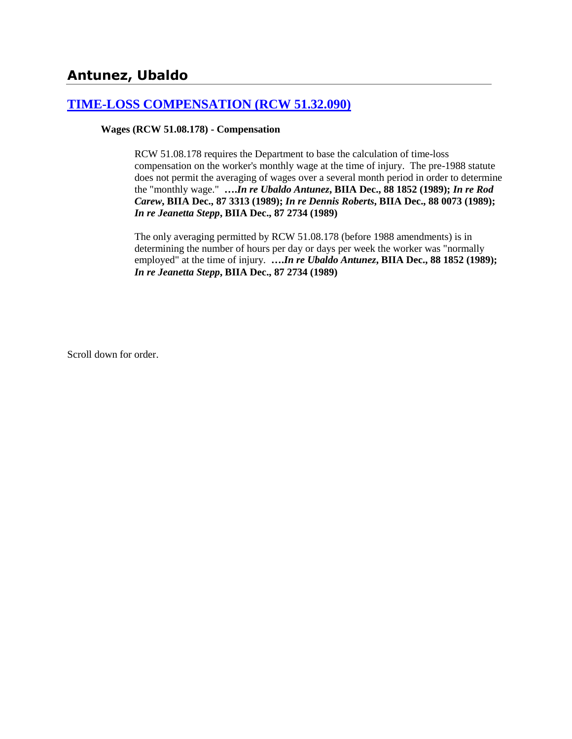# **Antunez, Ubaldo**

### **[TIME-LOSS COMPENSATION \(RCW 51.32.090\)](http://www.biia.wa.gov/SDSubjectIndex.html#TIME_LOSS_COMPENSATION)**

### **Wages (RCW 51.08.178) - Compensation**

RCW 51.08.178 requires the Department to base the calculation of time-loss compensation on the worker's monthly wage at the time of injury. The pre-1988 statute does not permit the averaging of wages over a several month period in order to determine the "monthly wage." **….***In re Ubaldo Antunez***, BIIA Dec., 88 1852 (1989);** *In re Rod Carew***, BIIA Dec., 87 3313 (1989);** *In re Dennis Roberts***, BIIA Dec., 88 0073 (1989);**  *In re Jeanetta Stepp***, BIIA Dec., 87 2734 (1989)** 

The only averaging permitted by RCW 51.08.178 (before 1988 amendments) is in determining the number of hours per day or days per week the worker was "normally employed" at the time of injury. **….***In re Ubaldo Antunez***, BIIA Dec., 88 1852 (1989);**  *In re Jeanetta Stepp***, BIIA Dec., 87 2734 (1989)**

Scroll down for order.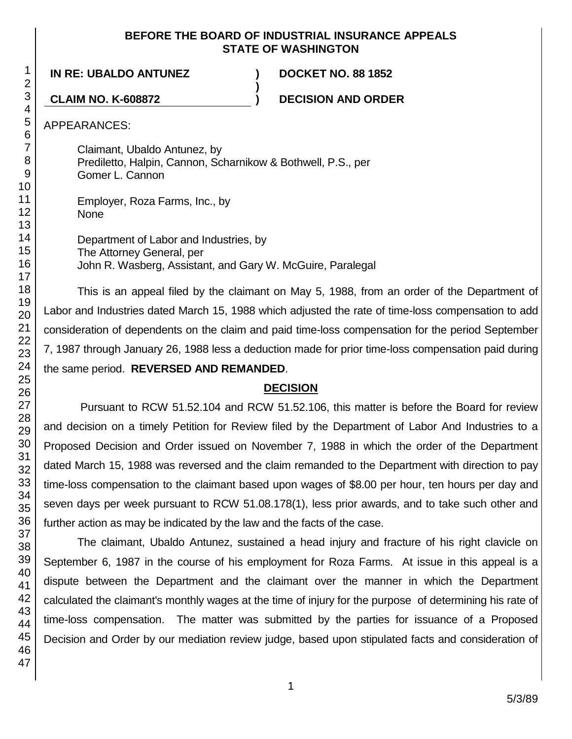### **BEFORE THE BOARD OF INDUSTRIAL INSURANCE APPEALS STATE OF WASHINGTON**

**)**

**IN RE: UBALDO ANTUNEZ ) DOCKET NO. 88 1852**

**CLAIM NO. K-608872 ) DECISION AND ORDER**

APPEARANCES:

Claimant, Ubaldo Antunez, by Prediletto, Halpin, Cannon, Scharnikow & Bothwell, P.S., per Gomer L. Cannon

Employer, Roza Farms, Inc., by None

Department of Labor and Industries, by The Attorney General, per John R. Wasberg, Assistant, and Gary W. McGuire, Paralegal

This is an appeal filed by the claimant on May 5, 1988, from an order of the Department of Labor and Industries dated March 15, 1988 which adjusted the rate of time-loss compensation to add consideration of dependents on the claim and paid time-loss compensation for the period September 7, 1987 through January 26, 1988 less a deduction made for prior time-loss compensation paid during the same period. **REVERSED AND REMANDED**.

# **DECISION**

Pursuant to RCW 51.52.104 and RCW 51.52.106, this matter is before the Board for review and decision on a timely Petition for Review filed by the Department of Labor And Industries to a Proposed Decision and Order issued on November 7, 1988 in which the order of the Department dated March 15, 1988 was reversed and the claim remanded to the Department with direction to pay time-loss compensation to the claimant based upon wages of \$8.00 per hour, ten hours per day and seven days per week pursuant to RCW 51.08.178(1), less prior awards, and to take such other and further action as may be indicated by the law and the facts of the case.

The claimant, Ubaldo Antunez, sustained a head injury and fracture of his right clavicle on September 6, 1987 in the course of his employment for Roza Farms. At issue in this appeal is a dispute between the Department and the claimant over the manner in which the Department calculated the claimant's monthly wages at the time of injury for the purpose of determining his rate of time-loss compensation. The matter was submitted by the parties for issuance of a Proposed Decision and Order by our mediation review judge, based upon stipulated facts and consideration of

1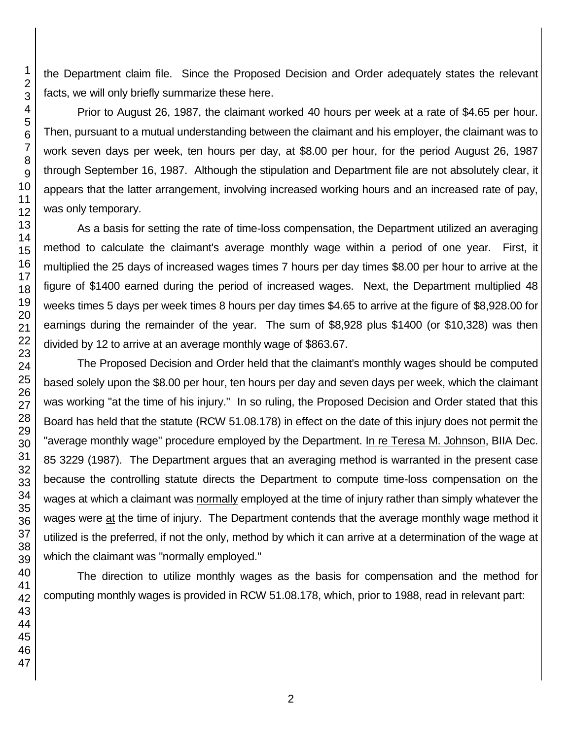the Department claim file. Since the Proposed Decision and Order adequately states the relevant facts, we will only briefly summarize these here.

Prior to August 26, 1987, the claimant worked 40 hours per week at a rate of \$4.65 per hour. Then, pursuant to a mutual understanding between the claimant and his employer, the claimant was to work seven days per week, ten hours per day, at \$8.00 per hour, for the period August 26, 1987 through September 16, 1987. Although the stipulation and Department file are not absolutely clear, it appears that the latter arrangement, involving increased working hours and an increased rate of pay, was only temporary.

As a basis for setting the rate of time-loss compensation, the Department utilized an averaging method to calculate the claimant's average monthly wage within a period of one year. First, it multiplied the 25 days of increased wages times 7 hours per day times \$8.00 per hour to arrive at the figure of \$1400 earned during the period of increased wages. Next, the Department multiplied 48 weeks times 5 days per week times 8 hours per day times \$4.65 to arrive at the figure of \$8,928.00 for earnings during the remainder of the year. The sum of \$8,928 plus \$1400 (or \$10,328) was then divided by 12 to arrive at an average monthly wage of \$863.67.

The Proposed Decision and Order held that the claimant's monthly wages should be computed based solely upon the \$8.00 per hour, ten hours per day and seven days per week, which the claimant was working "at the time of his injury." In so ruling, the Proposed Decision and Order stated that this Board has held that the statute (RCW 51.08.178) in effect on the date of this injury does not permit the "average monthly wage" procedure employed by the Department. In re Teresa M. Johnson, BIIA Dec. 85 3229 (1987). The Department argues that an averaging method is warranted in the present case because the controlling statute directs the Department to compute time-loss compensation on the wages at which a claimant was normally employed at the time of injury rather than simply whatever the wages were at the time of injury. The Department contends that the average monthly wage method it utilized is the preferred, if not the only, method by which it can arrive at a determination of the wage at which the claimant was "normally employed."

The direction to utilize monthly wages as the basis for compensation and the method for computing monthly wages is provided in RCW 51.08.178, which, prior to 1988, read in relevant part: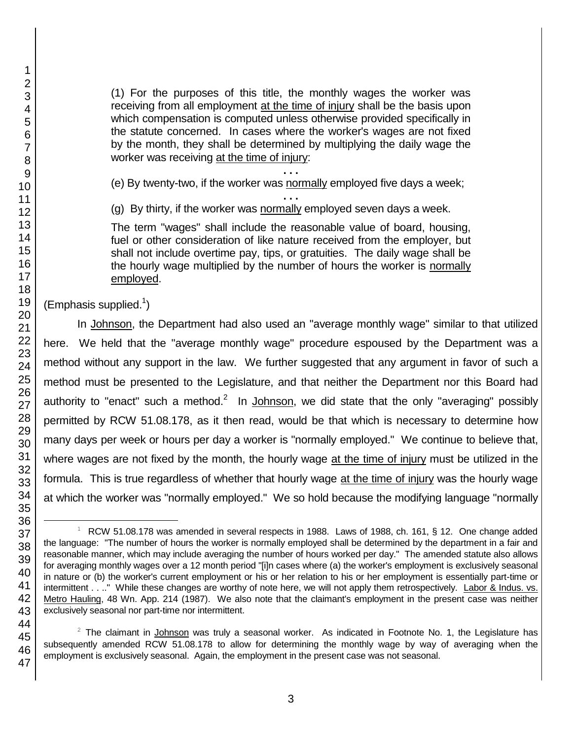(1) For the purposes of this title, the monthly wages the worker was receiving from all employment at the time of injury shall be the basis upon which compensation is computed unless otherwise provided specifically in the statute concerned. In cases where the worker's wages are not fixed by the month, they shall be determined by multiplying the daily wage the worker was receiving at the time of injury:

**. . .** (e) By twenty-two, if the worker was normally employed five days a week;

**. . .** (g) By thirty, if the worker was normally employed seven days a week.

The term "wages" shall include the reasonable value of board, housing, fuel or other consideration of like nature received from the employer, but shall not include overtime pay, tips, or gratuities. The daily wage shall be the hourly wage multiplied by the number of hours the worker is normally employed.

(Emphasis supplied. $1$ )

In Johnson, the Department had also used an "average monthly wage" similar to that utilized here. We held that the "average monthly wage" procedure espoused by the Department was a method without any support in the law. We further suggested that any argument in favor of such a method must be presented to the Legislature, and that neither the Department nor this Board had authority to "enact" such a method.<sup>2</sup> In Johnson, we did state that the only "averaging" possibly permitted by RCW 51.08.178, as it then read, would be that which is necessary to determine how many days per week or hours per day a worker is "normally employed." We continue to believe that, where wages are not fixed by the month, the hourly wage at the time of injury must be utilized in the formula. This is true regardless of whether that hourly wage at the time of injury was the hourly wage at which the worker was "normally employed." We so hold because the modifying language "normally

l

 $1$  RCW 51.08.178 was amended in several respects in 1988. Laws of 1988, ch. 161, § 12. One change added the language: "The number of hours the worker is normally employed shall be determined by the department in a fair and reasonable manner, which may include averaging the number of hours worked per day." The amended statute also allows for averaging monthly wages over a 12 month period "[i]n cases where (a) the worker's employment is exclusively seasonal in nature or (b) the worker's current employment or his or her relation to his or her employment is essentially part-time or intermittent . . .." While these changes are worthy of note here, we will not apply them retrospectively. Labor & Indus. vs. Metro Hauling, 48 Wn. App. 214 (1987). We also note that the claimant's employment in the present case was neither exclusively seasonal nor part-time nor intermittent.

 $2$  The claimant in Johnson was truly a seasonal worker. As indicated in Footnote No. 1, the Legislature has subsequently amended RCW 51.08.178 to allow for determining the monthly wage by way of averaging when the employment is exclusively seasonal. Again, the employment in the present case was not seasonal.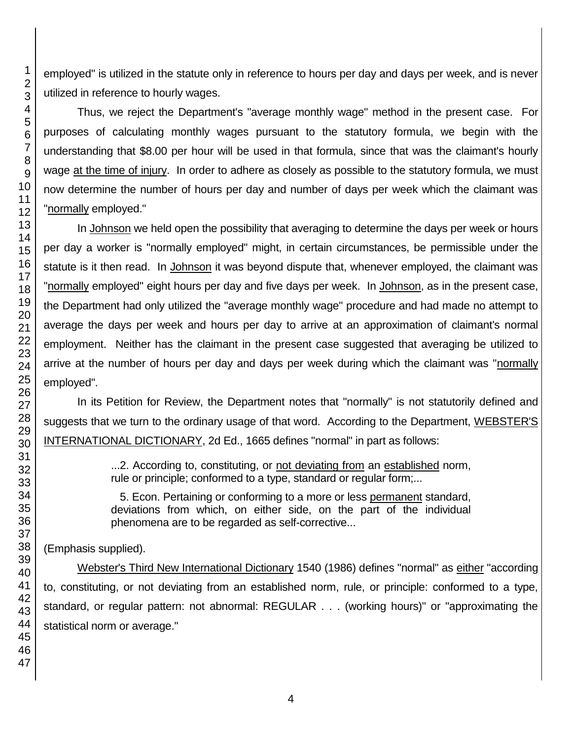employed" is utilized in the statute only in reference to hours per day and days per week, and is never utilized in reference to hourly wages.

Thus, we reject the Department's "average monthly wage" method in the present case. For purposes of calculating monthly wages pursuant to the statutory formula, we begin with the understanding that \$8.00 per hour will be used in that formula, since that was the claimant's hourly wage at the time of injury. In order to adhere as closely as possible to the statutory formula, we must now determine the number of hours per day and number of days per week which the claimant was "normally employed."

In Johnson we held open the possibility that averaging to determine the days per week or hours per day a worker is "normally employed" might, in certain circumstances, be permissible under the statute is it then read. In Johnson it was beyond dispute that, whenever employed, the claimant was "normally employed" eight hours per day and five days per week. In Johnson, as in the present case, the Department had only utilized the "average monthly wage" procedure and had made no attempt to average the days per week and hours per day to arrive at an approximation of claimant's normal employment. Neither has the claimant in the present case suggested that averaging be utilized to arrive at the number of hours per day and days per week during which the claimant was "normally employed".

In its Petition for Review, the Department notes that "normally" is not statutorily defined and suggests that we turn to the ordinary usage of that word. According to the Department, WEBSTER'S INTERNATIONAL DICTIONARY, 2d Ed., 1665 defines "normal" in part as follows:

> ...2. According to, constituting, or not deviating from an established norm, rule or principle; conformed to a type, standard or regular form;...

> 5. Econ. Pertaining or conforming to a more or less permanent standard, deviations from which, on either side, on the part of the individual phenomena are to be regarded as self-corrective...

(Emphasis supplied).

Webster's Third New International Dictionary 1540 (1986) defines "normal" as either "according to, constituting, or not deviating from an established norm, rule, or principle: conformed to a type, standard, or regular pattern: not abnormal: REGULAR . . . (working hours)" or "approximating the statistical norm or average."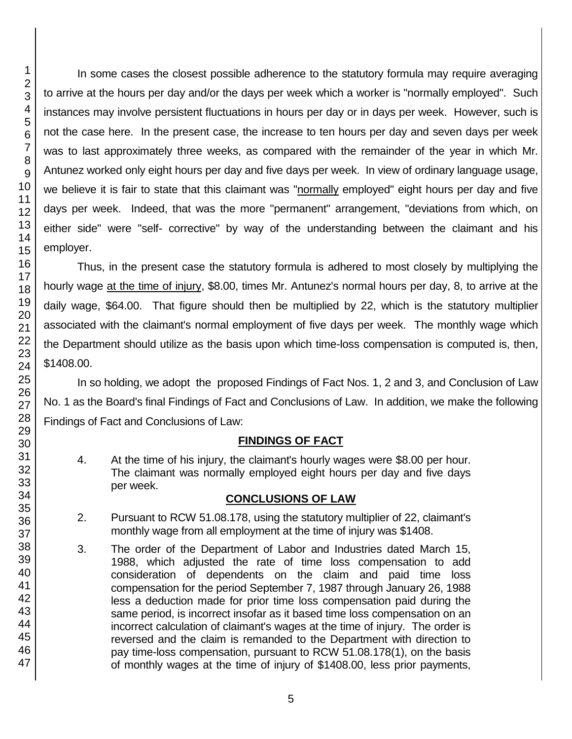In some cases the closest possible adherence to the statutory formula may require averaging to arrive at the hours per day and/or the days per week which a worker is "normally employed". Such instances may involve persistent fluctuations in hours per day or in days per week. However, such is not the case here. In the present case, the increase to ten hours per day and seven days per week was to last approximately three weeks, as compared with the remainder of the year in which Mr. Antunez worked only eight hours per day and five days per week. In view of ordinary language usage, we believe it is fair to state that this claimant was "normally employed" eight hours per day and five days per week. Indeed, that was the more "permanent" arrangement, "deviations from which, on either side" were "self- corrective" by way of the understanding between the claimant and his employer.

Thus, in the present case the statutory formula is adhered to most closely by multiplying the hourly wage at the time of injury, \$8.00, times Mr. Antunez's normal hours per day, 8, to arrive at the daily wage, \$64.00. That figure should then be multiplied by 22, which is the statutory multiplier associated with the claimant's normal employment of five days per week. The monthly wage which the Department should utilize as the basis upon which time-loss compensation is computed is, then, \$1408.00.

In so holding, we adopt the proposed Findings of Fact Nos. 1, 2 and 3, and Conclusion of Law No. 1 as the Board's final Findings of Fact and Conclusions of Law. In addition, we make the following Findings of Fact and Conclusions of Law:

### **FINDINGS OF FACT**

4. At the time of his injury, the claimant's hourly wages were \$8.00 per hour. The claimant was normally employed eight hours per day and five days per week.

### **CONCLUSIONS OF LAW**

- 2. Pursuant to RCW 51.08.178, using the statutory multiplier of 22, claimant's monthly wage from all employment at the time of injury was \$1408.
- 3. The order of the Department of Labor and Industries dated March 15, 1988, which adjusted the rate of time loss compensation to add consideration of dependents on the claim and paid time loss compensation for the period September 7, 1987 through January 26, 1988 less a deduction made for prior time loss compensation paid during the same period, is incorrect insofar as it based time loss compensation on an incorrect calculation of claimant's wages at the time of injury. The order is reversed and the claim is remanded to the Department with direction to pay time-loss compensation, pursuant to RCW 51.08.178(1), on the basis of monthly wages at the time of injury of \$1408.00, less prior payments,